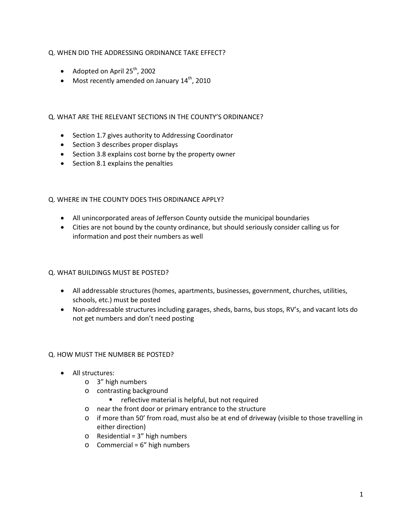## Q. WHEN DID THE ADDRESSING ORDINANCE TAKE EFFECT?

- Adopted on April  $25^{th}$ , 2002
- Most recently amended on January  $14^{th}$ , 2010

### Q. WHAT ARE THE RELEVANT SECTIONS IN THE COUNTY'S ORDINANCE?

- Section 1.7 gives authority to Addressing Coordinator
- Section 3 describes proper displays
- Section 3.8 explains cost borne by the property owner
- Section 8.1 explains the penalties

### Q. WHERE IN THE COUNTY DOES THIS ORDINANCE APPLY?

- All unincorporated areas of Jefferson County outside the municipal boundaries
- Cities are not bound by the county ordinance, but should seriously consider calling us for information and post their numbers as well

### Q. WHAT BUILDINGS MUST BE POSTED?

- All addressable structures (homes, apartments, businesses, government, churches, utilities, schools, etc.) must be posted
- Non-addressable structures including garages, sheds, barns, bus stops, RV's, and vacant lots do not get numbers and don't need posting

### Q. HOW MUST THE NUMBER BE POSTED?

- All structures:
	- o 3" high numbers
	- o contrasting background
		- **F** reflective material is helpful, but not required
	- o near the front door or primary entrance to the structure
	- $\circ$  if more than 50' from road, must also be at end of driveway (visible to those travelling in either direction)
	- $o$  Residential = 3" high numbers
	- $\circ$  Commercial = 6" high numbers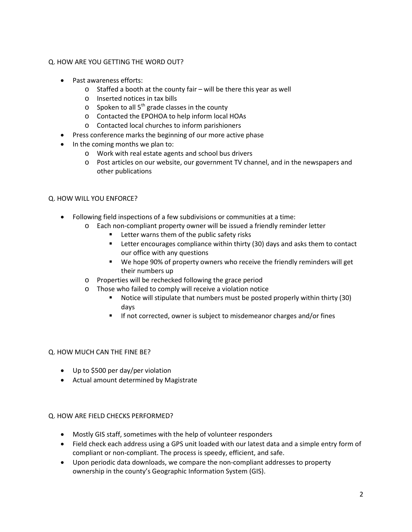### Q. HOW ARE YOU GETTING THE WORD OUT?

- Past awareness efforts:
	- o Staffed a booth at the county fair will be there this year as well
	- o Inserted notices in tax bills
	- $\circ$  Spoken to all 5<sup>th</sup> grade classes in the county
	- o Contacted the EPOHOA to help inform local HOAs
	- o Contacted local churches to inform parishioners
- Press conference marks the beginning of our more active phase
- In the coming months we plan to:
	- o Work with real estate agents and school bus drivers
	- o Post articles on our website, our government TV channel, and in the newspapers and other publications

### Q. HOW WILL YOU ENFORCE?

- Following field inspections of a few subdivisions or communities at a time:
	- o Each non-compliant property owner will be issued a friendly reminder letter
		- Letter warns them of the public safety risks
		- **EXTER ENTER ENTER ENTER 15 FIRTH** Letter encourages compliance within thirty (30) days and asks them to contact our office with any questions
		- We hope 90% of property owners who receive the friendly reminders will get their numbers up
	- o Properties will be rechecked following the grace period
	- o Those who failed to comply will receive a violation notice
		- Notice will stipulate that numbers must be posted properly within thirty (30) days
		- **If not corrected, owner is subject to misdemeanor charges and/or fines**

### Q. HOW MUCH CAN THE FINE BE?

- Up to \$500 per day/per violation
- Actual amount determined by Magistrate

### Q. HOW ARE FIELD CHECKS PERFORMED?

- Mostly GIS staff, sometimes with the help of volunteer responders
- Field check each address using a GPS unit loaded with our latest data and a simple entry form of compliant or non-compliant. The process is speedy, efficient, and safe.
- Upon periodic data downloads, we compare the non-compliant addresses to property ownership in the county's Geographic Information System (GIS).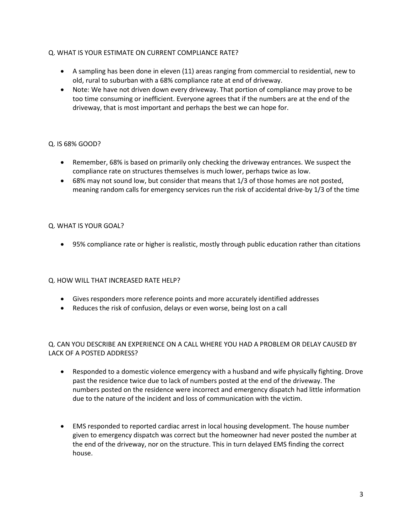## Q. WHAT IS YOUR ESTIMATE ON CURRENT COMPLIANCE RATE?

- A sampling has been done in eleven (11) areas ranging from commercial to residential, new to old, rural to suburban with a 68% compliance rate at end of driveway.
- Note: We have not driven down every driveway. That portion of compliance may prove to be too time consuming or inefficient. Everyone agrees that if the numbers are at the end of the driveway, that is most important and perhaps the best we can hope for.

## Q. IS 68% GOOD?

- Remember, 68% is based on primarily only checking the driveway entrances. We suspect the compliance rate on structures themselves is much lower, perhaps twice as low.
- 68% may not sound low, but consider that means that 1/3 of those homes are not posted, meaning random calls for emergency services run the risk of accidental drive-by 1/3 of the time

## Q. WHAT IS YOUR GOAL?

• 95% compliance rate or higher is realistic, mostly through public education rather than citations

# Q. HOW WILL THAT INCREASED RATE HELP?

- Gives responders more reference points and more accurately identified addresses
- Reduces the risk of confusion, delays or even worse, being lost on a call

## Q. CAN YOU DESCRIBE AN EXPERIENCE ON A CALL WHERE YOU HAD A PROBLEM OR DELAY CAUSED BY LACK OF A POSTED ADDRESS?

- Responded to a domestic violence emergency with a husband and wife physically fighting. Drove past the residence twice due to lack of numbers posted at the end of the driveway. The numbers posted on the residence were incorrect and emergency dispatch had little information due to the nature of the incident and loss of communication with the victim.
- EMS responded to reported cardiac arrest in local housing development. The house number given to emergency dispatch was correct but the homeowner had never posted the number at the end of the driveway, nor on the structure. This in turn delayed EMS finding the correct house.